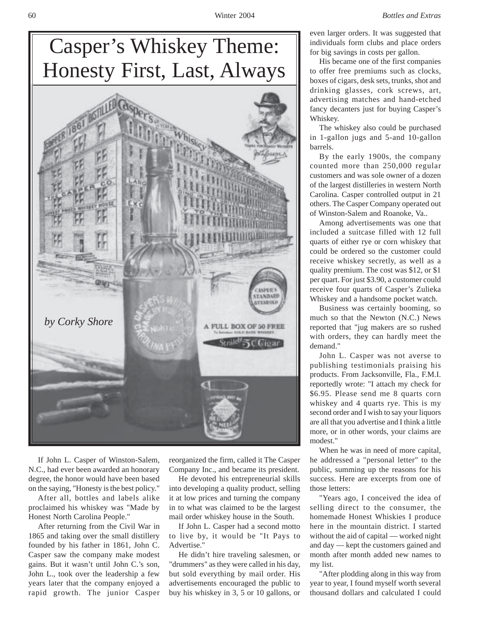

If John L. Casper of Winston-Salem, N.C., had ever been awarded an honorary degree, the honor would have been based on the saying, "Honesty is the best policy."

After all, bottles and labels alike proclaimed his whiskey was "Made by Honest North Carolina People."

After returning from the Civil War in 1865 and taking over the small distillery founded by his father in 1861, John C. Casper saw the company make modest gains. But it wasn't until John C.'s son, John L., took over the leadership a few years later that the company enjoyed a rapid growth. The junior Casper reorganized the firm, called it The Casper Company Inc., and became its president.

He devoted his entrepreneurial skills into developing a quality product, selling it at low prices and turning the company in to what was claimed to be the largest mail order whiskey house in the South.

If John L. Casper had a second motto to live by, it would be "It Pays to Advertise."

He didn't hire traveling salesmen, or "drummers" as they were called in his day, but sold everything by mail order. His advertisements encouraged the public to buy his whiskey in 3, 5 or 10 gallons, or even larger orders. It was suggested that individuals form clubs and place orders for big savings in costs per gallon.

His became one of the first companies to offer free premiums such as clocks, boxes of cigars, desk sets, trunks, shot and drinking glasses, cork screws, art, advertising matches and hand-etched fancy decanters just for buying Casper's Whiskey.

The whiskey also could be purchased in 1-gallon jugs and 5-and 10-gallon barrels.

By the early 1900s, the company counted more than 250,000 regular customers and was sole owner of a dozen of the largest distilleries in western North Carolina. Casper controlled output in 21 others. The Casper Company operated out of Winston-Salem and Roanoke, Va..

Among advertisements was one that included a suitcase filled with 12 full quarts of either rye or corn whiskey that could be ordered so the customer could receive whiskey secretly, as well as a quality premium. The cost was \$12, or \$1 per quart. For just \$3.90, a customer could receive four quarts of Casper's Zulieka Whiskey and a handsome pocket watch.

Business was certainly booming, so much so that the Newton (N.C.) News reported that "jug makers are so rushed with orders, they can hardly meet the demand."

John L. Casper was not averse to publishing testimonials praising his products. From Jacksonville, Fla., F.M.I. reportedly wrote: "I attach my check for \$6.95. Please send me 8 quarts corn whiskey and 4 quarts rye. This is my second order and I wish to say your liquors are all that you advertise and I think a little more, or in other words, your claims are modest."

When he was in need of more capital, he addressed a "personal letter" to the public, summing up the reasons for his success. Here are excerpts from one of those letters:

"Years ago, I conceived the idea of selling direct to the consumer, the homemade Honest Whiskies I produce here in the mountain district. I started without the aid of capital — worked night and day — kept the customers gained and month after month added new names to my list.

"After plodding along in this way from year to year, I found myself worth several thousand dollars and calculated I could